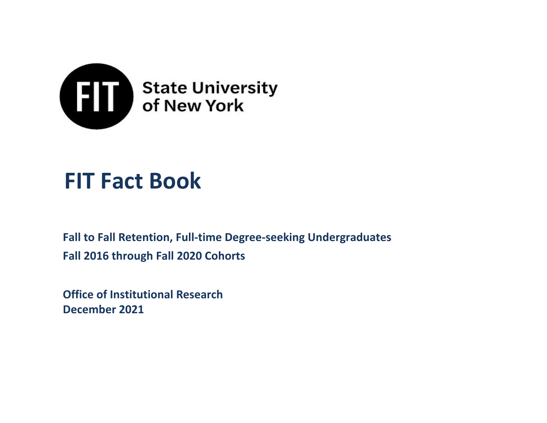

# **FIT Fact Book**

**Fall to Fall Retention, Full-time Degree-seeking Undergraduates Fall 2016 through Fall 2020 Cohorts**

**Office of Institutional Research December 2021**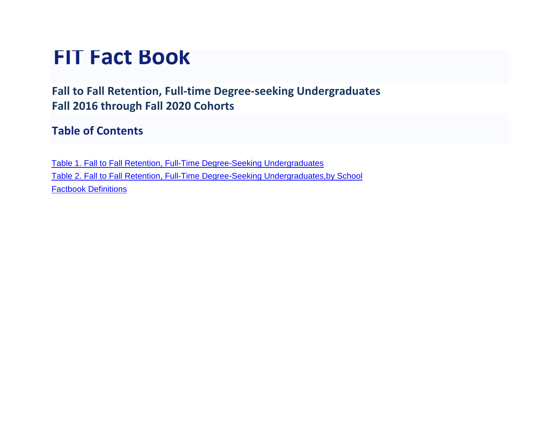## **FIT Fact Book**

**Fall to Fall Retention, Full-time Degree-seeking Undergraduates Fall 2016 through Fall 2020 Cohorts**

## **Table of Contents**

Table 1. Fall to Fall Retention, Full-Time [Degree-Seeking](#page-2-0) Undergraduates Table 2. Fall to Fall Retention, Full-Time Degree-Seeking [Undergraduates,by School](#page-3-0) [Factbook Definitions](#page-5-0)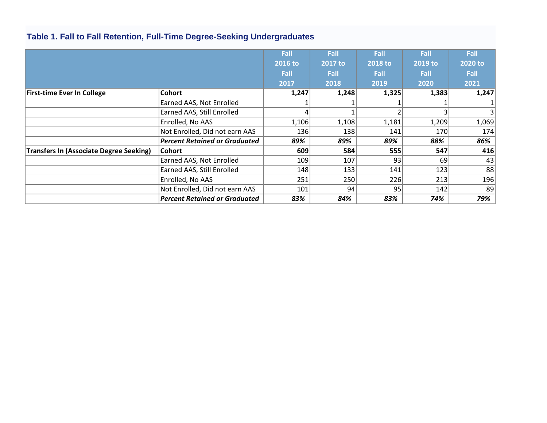|                                                |                                      | Fall    | Fall    | Fall    | Fall    | Fall        |
|------------------------------------------------|--------------------------------------|---------|---------|---------|---------|-------------|
|                                                |                                      | 2016 to | 2017 to | 2018 to | 2019 to | 2020 to     |
|                                                |                                      | Fall    | Fall    | Fall    | Fall    | <b>Fall</b> |
|                                                |                                      | 2017    | 2018    | 2019    | 2020    | 2021        |
| <b>First-time Ever In College</b>              | <b>Cohort</b>                        | 1,247   | 1,248   | 1,325   | 1,383   | 1,247       |
|                                                | Earned AAS, Not Enrolled             |         |         |         |         |             |
|                                                | Earned AAS, Still Enrolled           |         |         |         |         | 3           |
|                                                | Enrolled, No AAS                     | 1,106   | 1,108   | 1,181   | 1,209   | 1,069       |
|                                                | Not Enrolled, Did not earn AAS       | 136     | 138     | 141     | 170     | 174         |
|                                                | <b>Percent Retained or Graduated</b> | 89%     | 89%     | 89%     | 88%     | 86%         |
| <b>Transfers In (Associate Degree Seeking)</b> | Cohort                               | 609     | 584     | 555     | 547     | 416         |
|                                                | Earned AAS, Not Enrolled             | 109     | 107     | 93      | 69      | 43          |
|                                                | Earned AAS, Still Enrolled           | 148     | 133     | 141     | 123     | 88          |
|                                                | Enrolled, No AAS                     | 251     | 250     | 226     | 213     | 196         |
|                                                | Not Enrolled, Did not earn AAS       | 101     | 94      | 95      | 142     | 89          |
|                                                | <b>Percent Retained or Graduated</b> | 83%     | 84%     | 83%     | 74%     | 79%         |

## <span id="page-2-0"></span>**Table 1. Fall to Fall Retention, Full-Time Degree-Seeking Undergraduates**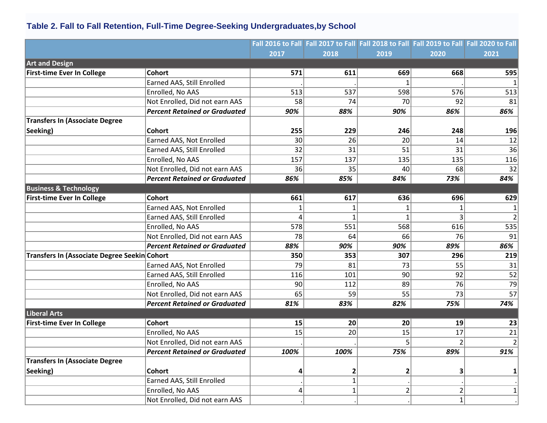## <span id="page-3-0"></span>**Table 2. Fall to Fall Retention, Full-Time Degree-Seeking Undergraduates,by School**

|                                              |                                      |      |              |      | Fall 2016 to Fall Fall 2017 to Fall Fall 2018 to Fall Fall 2019 to Fall Fall 2020 to Fall |             |
|----------------------------------------------|--------------------------------------|------|--------------|------|-------------------------------------------------------------------------------------------|-------------|
|                                              |                                      | 2017 | 2018         | 2019 | 2020                                                                                      | 2021        |
| <b>Art and Design</b>                        |                                      |      |              |      |                                                                                           |             |
| <b>First-time Ever In College</b>            | <b>Cohort</b>                        | 571  | 611          | 669  | 668                                                                                       | 595         |
|                                              | Earned AAS, Still Enrolled           |      |              |      |                                                                                           |             |
|                                              | Enrolled, No AAS                     | 513  | 537          | 598  | 576                                                                                       | 513         |
|                                              | Not Enrolled, Did not earn AAS       | 58   | 74           | 70   | 92                                                                                        | 81          |
|                                              | <b>Percent Retained or Graduated</b> | 90%  | 88%          | 90%  | 86%                                                                                       | 86%         |
| <b>Transfers In (Associate Degree</b>        |                                      |      |              |      |                                                                                           |             |
| Seeking)                                     | <b>Cohort</b>                        | 255  | 229          | 246  | 248                                                                                       | 196         |
|                                              | Earned AAS, Not Enrolled             | 30   | 26           | 20   | 14                                                                                        | 12          |
|                                              | Earned AAS, Still Enrolled           | 32   | 31           | 51   | 31                                                                                        | 36          |
|                                              | Enrolled, No AAS                     | 157  | 137          | 135  | 135                                                                                       | 116         |
|                                              | Not Enrolled, Did not earn AAS       | 36   | 35           | 40   | 68                                                                                        | 32          |
|                                              | <b>Percent Retained or Graduated</b> | 86%  | 85%          | 84%  | 73%                                                                                       | 84%         |
| <b>Business &amp; Technology</b>             |                                      |      |              |      |                                                                                           |             |
| <b>First-time Ever In College</b>            | <b>Cohort</b>                        | 661  | 617          | 636  | 696                                                                                       | 629         |
|                                              | Earned AAS, Not Enrolled             |      |              |      |                                                                                           |             |
|                                              | Earned AAS, Still Enrolled           | Δ    |              |      |                                                                                           |             |
|                                              | Enrolled, No AAS                     | 578  | 551          | 568  | 616                                                                                       | 535         |
|                                              | Not Enrolled, Did not earn AAS       | 78   | 64           | 66   | 76                                                                                        | 91          |
|                                              | <b>Percent Retained or Graduated</b> | 88%  | 90%          | 90%  | 89%                                                                                       | 86%         |
| Transfers In (Associate Degree Seekin Cohort |                                      | 350  | 353          | 307  | 296                                                                                       | 219         |
|                                              | Earned AAS, Not Enrolled             | 79   | 81           | 73   | 55                                                                                        | 31          |
|                                              | Earned AAS, Still Enrolled           | 116  | 101          | 90   | 92                                                                                        | 52          |
|                                              | Enrolled, No AAS                     | 90   | 112          | 89   | 76                                                                                        | 79          |
|                                              | Not Enrolled, Did not earn AAS       | 65   | 59           | 55   | 73                                                                                        | 57          |
|                                              | <b>Percent Retained or Graduated</b> | 81%  | 83%          | 82%  | 75%                                                                                       | 74%         |
| <b>Liberal Arts</b>                          |                                      |      |              |      |                                                                                           |             |
| <b>First-time Ever In College</b>            | <b>Cohort</b>                        | 15   | 20           | 20   | 19                                                                                        | 23          |
|                                              | Enrolled, No AAS                     | 15   | 20           | 15   | 17                                                                                        | 21          |
|                                              | Not Enrolled, Did not earn AAS       |      |              |      | 2                                                                                         | $\mathbf 2$ |
|                                              | <b>Percent Retained or Graduated</b> | 100% | 100%         | 75%  | 89%                                                                                       | 91%         |
| <b>Transfers In (Associate Degree</b>        |                                      |      |              |      |                                                                                           |             |
| Seeking)                                     | <b>Cohort</b>                        | 4    | $\mathbf{2}$ | 2    | 3                                                                                         | 1           |
|                                              | Earned AAS, Still Enrolled           |      | 1            |      |                                                                                           |             |
|                                              | Enrolled, No AAS                     | 4    | $\mathbf{1}$ | 2    | $\overline{2}$                                                                            | 1           |
|                                              | Not Enrolled, Did not earn AAS       |      |              |      | $\mathbf{1}$                                                                              |             |